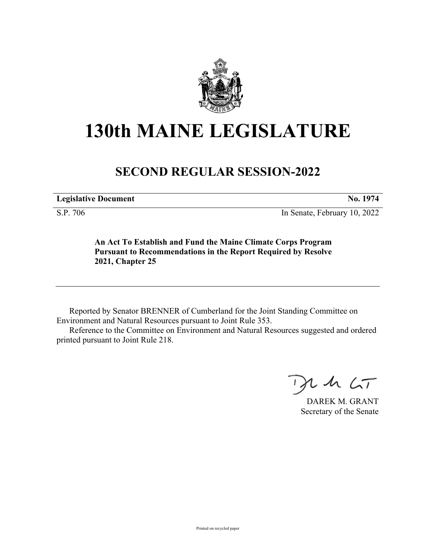

## **130th MAINE LEGISLATURE**

## **SECOND REGULAR SESSION-2022**

**Legislative Document No. 1974**

S.P. 706 In Senate, February 10, 2022

**An Act To Establish and Fund the Maine Climate Corps Program Pursuant to Recommendations in the Report Required by Resolve 2021, Chapter 25**

Reported by Senator BRENNER of Cumberland for the Joint Standing Committee on Environment and Natural Resources pursuant to Joint Rule 353.

Reference to the Committee on Environment and Natural Resources suggested and ordered printed pursuant to Joint Rule 218.

 $125$ 

DAREK M. GRANT Secretary of the Senate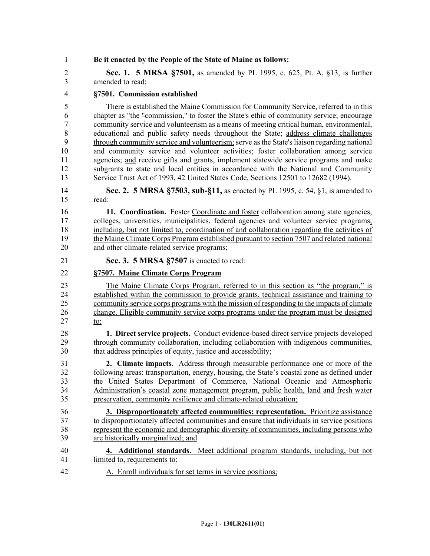1 **Be it enacted by the People of the State of Maine as follows:** 2 **Sec. 1. 5 MRSA §7501,** as amended by PL 1995, c. 625, Pt. A, §13, is further 3 amended to read: 4 **§7501. Commission established** 5 There is established the Maine Commission for Community Service, referred to in this 6 chapter as "the "commission," to foster the State's ethic of community service; encourage 7 community service and volunteerism as a means of meeting critical human, environmental, 8 educational and public safety needs throughout the State; address climate challenges 9 through community service and volunteerism; serve as the State's liaison regarding national 10 and community service and volunteer activities; foster collaboration among service 11 agencies; and receive gifts and grants, implement statewide service programs and make 12 subgrants to state and local entities in accordance with the National and Community 13 Service Trust Act of 1993, 42 United States Code, Sections 12501 to 12682 (1994). 14 **Sec. 2. 5 MRSA §7503, sub-§11,** as enacted by PL 1995, c. 54, §1, is amended to 15 read: 16 **11. Coordination.** Foster Coordinate and foster collaboration among state agencies, 17 colleges, universities, municipalities, federal agencies and volunteer service programs, 18 including, but not limited to, coordination of and collaboration regarding the activities of 19 the Maine Climate Corps Program established pursuant to section 7507 and related national 20 and other climate-related service programs; 21 **Sec. 3. 5 MRSA §7507** is enacted to read: 22 **§7507. Maine Climate Corps Program** 23 The Maine Climate Corps Program, referred to in this section as "the program," is 24 established within the commission to provide grants, technical assistance and training to 25 community service corps programs with the mission of responding to the impacts of climate 26 change. Eligible community service corps programs under the program must be designed 27 to: 28 **1. Direct service projects.** Conduct evidence-based direct service projects developed 29 through community collaboration, including collaboration with indigenous communities, 30 that address principles of equity, justice and accessibility; 31 **2. Climate impacts.** Address through measurable performance one or more of the 32 following areas: transportation, energy, housing, the State's coastal zone as defined under 33 the United States Department of Commerce, National Oceanic and Atmospheric 34 Administration's coastal zone management program, public health, land and fresh water 35 preservation, community resilience and climate-related education; 36 **3. Disproportionately affected communities; representation.** Prioritize assistance 37 to disproportionately affected communities and ensure that individuals in service positions 38 represent the economic and demographic diversity of communities, including persons who 39 are historically marginalized; and 40 **4. Additional standards.** Meet additional program standards, including, but not 41 limited to, requirements to: 42 A. Enroll individuals for set terms in service positions;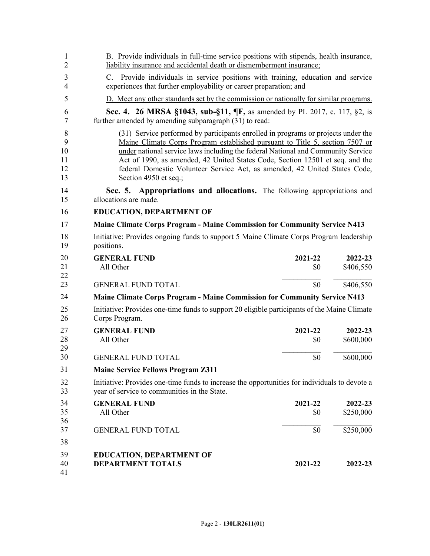| 1<br>$\overline{2}$            | B. Provide individuals in full-time service positions with stipends, health insurance,<br>liability insurance and accidental death or dismemberment insurance;                                                                                                                                                                                                                                                                                |  |  |  |  |
|--------------------------------|-----------------------------------------------------------------------------------------------------------------------------------------------------------------------------------------------------------------------------------------------------------------------------------------------------------------------------------------------------------------------------------------------------------------------------------------------|--|--|--|--|
| 3<br>$\overline{4}$            | C. Provide individuals in service positions with training, education and service<br>experiences that further employability or career preparation; and                                                                                                                                                                                                                                                                                         |  |  |  |  |
| 5                              | D. Meet any other standards set by the commission or nationally for similar programs.                                                                                                                                                                                                                                                                                                                                                         |  |  |  |  |
| 6<br>7                         | <b>Sec. 4. 26 MRSA §1043, sub-§11, ¶F, as amended by PL 2017, c. 117, §2, is</b><br>further amended by amending subparagraph (31) to read:                                                                                                                                                                                                                                                                                                    |  |  |  |  |
| 8<br>9<br>10<br>11<br>12<br>13 | (31) Service performed by participants enrolled in programs or projects under the<br>Maine Climate Corps Program established pursuant to Title 5, section 7507 or<br>under national service laws including the federal National and Community Service<br>Act of 1990, as amended, 42 United States Code, Section 12501 et seq. and the<br>federal Domestic Volunteer Service Act, as amended, 42 United States Code,<br>Section 4950 et seq.; |  |  |  |  |
| 14<br>15                       | Sec. 5. Appropriations and allocations. The following appropriations and<br>allocations are made.                                                                                                                                                                                                                                                                                                                                             |  |  |  |  |
| 16                             | <b>EDUCATION, DEPARTMENT OF</b>                                                                                                                                                                                                                                                                                                                                                                                                               |  |  |  |  |
| 17                             | <b>Maine Climate Corps Program - Maine Commission for Community Service N413</b>                                                                                                                                                                                                                                                                                                                                                              |  |  |  |  |
| 18<br>19                       | Initiative: Provides ongoing funds to support 5 Maine Climate Corps Program leadership<br>positions.                                                                                                                                                                                                                                                                                                                                          |  |  |  |  |
| 20<br>21<br>22                 | <b>GENERAL FUND</b><br>2021-22<br>2022-23<br>\$406,550<br>All Other<br>\$0                                                                                                                                                                                                                                                                                                                                                                    |  |  |  |  |
| 23                             | <b>GENERAL FUND TOTAL</b><br>\$0<br>\$406,550                                                                                                                                                                                                                                                                                                                                                                                                 |  |  |  |  |
| 24                             | Maine Climate Corps Program - Maine Commission for Community Service N413                                                                                                                                                                                                                                                                                                                                                                     |  |  |  |  |
| 25<br>26                       | Initiative: Provides one-time funds to support 20 eligible participants of the Maine Climate<br>Corps Program.                                                                                                                                                                                                                                                                                                                                |  |  |  |  |
| 27                             | <b>GENERAL FUND</b><br>2021-22<br>2022-23                                                                                                                                                                                                                                                                                                                                                                                                     |  |  |  |  |
| 28<br>29                       | All Other<br>\$600,000<br>\$0                                                                                                                                                                                                                                                                                                                                                                                                                 |  |  |  |  |
| 30                             | \$0<br>\$600,000<br><b>GENERAL FUND TOTAL</b>                                                                                                                                                                                                                                                                                                                                                                                                 |  |  |  |  |
| 31                             | <b>Maine Service Fellows Program Z311</b>                                                                                                                                                                                                                                                                                                                                                                                                     |  |  |  |  |
| 32<br>33                       | Initiative: Provides one-time funds to increase the opportunities for individuals to devote a<br>year of service to communities in the State.                                                                                                                                                                                                                                                                                                 |  |  |  |  |
| 34                             | <b>GENERAL FUND</b><br>2021-22<br>2022-23                                                                                                                                                                                                                                                                                                                                                                                                     |  |  |  |  |
| 35<br>36                       | All Other<br>\$0<br>\$250,000                                                                                                                                                                                                                                                                                                                                                                                                                 |  |  |  |  |
| 37                             | \$250,000<br>\$0<br><b>GENERAL FUND TOTAL</b>                                                                                                                                                                                                                                                                                                                                                                                                 |  |  |  |  |
| 38                             |                                                                                                                                                                                                                                                                                                                                                                                                                                               |  |  |  |  |
| 39                             | <b>EDUCATION, DEPARTMENT OF</b>                                                                                                                                                                                                                                                                                                                                                                                                               |  |  |  |  |
| 40<br>41                       | <b>DEPARTMENT TOTALS</b><br>2021-22<br>2022-23                                                                                                                                                                                                                                                                                                                                                                                                |  |  |  |  |